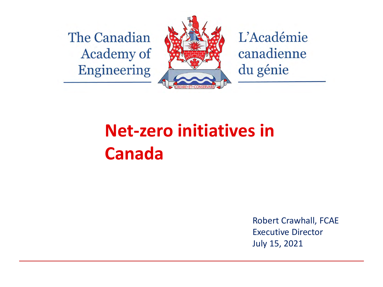The Canadian **Academy of Engineering** 



L'Académie canadienne du génie

#### **Net-zero initiatives in Canada**

Robert Crawhall, FCAE Executive Director July 15, 2021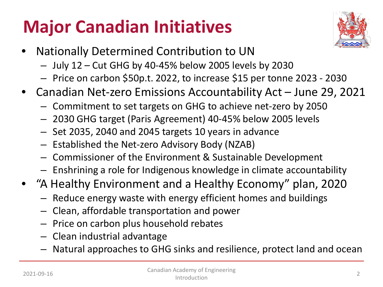# **Major Canadian Initiatives**



- Nationally Determined Contribution to UN
	- July 12 Cut GHG by 40-45% below 2005 levels by 2030
	- Price on carbon \$50p.t. 2022, to increase \$15 per tonne 2023 2030
- Canadian Net-zero Emissions Accountability Act June 29, 2021
	- Commitment to set targets on GHG to achieve net-zero by 2050
	- 2030 GHG target (Paris Agreement) 40-45% below 2005 levels
	- Set 2035, 2040 and 2045 targets 10 years in advance
	- Established the Net-zero Advisory Body (NZAB)
	- Commissioner of the Environment & Sustainable Development
	- Enshrining a role for Indigenous knowledge in climate accountability
- "A Healthy Environment and a Healthy Economy" plan, 2020
	- Reduce energy waste with energy efficient homes and buildings
	- Clean, affordable transportation and power
	- Price on carbon plus household rebates
	- Clean industrial advantage
	- Natural approaches to GHG sinks and resilience, protect land and ocean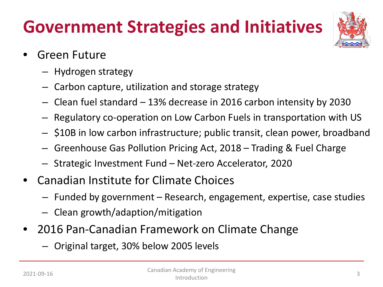### **Government Strategies and Initiatives**



- Green Future
	- Hydrogen strategy
	- Carbon capture, utilization and storage strategy
	- Clean fuel standard 13% decrease in 2016 carbon intensity by 2030
	- Regulatory co-operation on Low Carbon Fuels in transportation with US
	- \$10B in low carbon infrastructure; public transit, clean power, broadband
	- Greenhouse Gas Pollution Pricing Act, 2018 Trading & Fuel Charge
	- Strategic Investment Fund Net-zero Accelerator, 2020
- Canadian Institute for Climate Choices
	- Funded by government Research, engagement, expertise, case studies
	- Clean growth/adaption/mitigation
- 2016 Pan-Canadian Framework on Climate Change
	- Original target, 30% below 2005 levels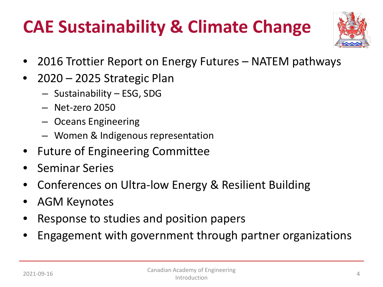### **CAE Sustainability & Climate Change**



- 2016 Trottier Report on Energy Futures NATEM pathways
- 2020 2025 Strategic Plan
	- Sustainability ESG, SDG
	- Net-zero 2050
	- Oceans Engineering
	- Women & Indigenous representation
- Future of Engineering Committee
- Seminar Series
- Conferences on Ultra-low Energy & Resilient Building
- AGM Keynotes
- Response to studies and position papers
- Engagement with government through partner organizations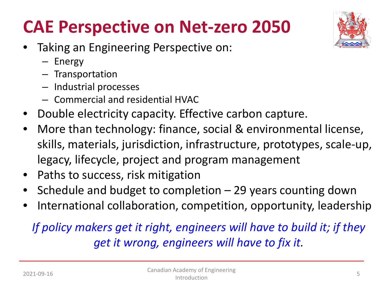#### **CAE Perspective on Net-zero 2050**

- Taking an Engineering Perspective on:
	- Energy
	- Transportation
	- Industrial processes
	- Commercial and residential HVAC
- Double electricity capacity. Effective carbon capture.
- More than technology: finance, social & environmental license, skills, materials, jurisdiction, infrastructure, prototypes, scale-up, legacy, lifecycle, project and program management
- Paths to success, risk mitigation
- Schedule and budget to completion  $-$  29 years counting down
- International collaboration, competition, opportunity, leadership

#### *If policy makers get it right, engineers will have to build it; if they get it wrong, engineers will have to fix it.*

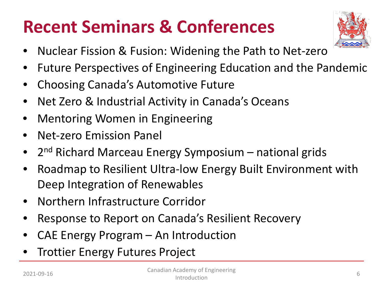#### **Recent Seminars & Conferences**



- Nuclear Fission & Fusion: Widening the Path to Net-zero
- Future Perspectives of Engineering Education and the Pandemic
- Choosing Canada's Automotive Future
- Net Zero & Industrial Activity in Canada's Oceans
- Mentoring Women in Engineering
- Net-zero Emission Panel
- 2<sup>nd</sup> Richard Marceau Energy Symposium national grids
- Roadmap to Resilient Ultra-low Energy Built Environment with Deep Integration of Renewables
- Northern Infrastructure Corridor
- Response to Report on Canada's Resilient Recovery
- CAE Energy Program An Introduction
- **Trottier Energy Futures Project**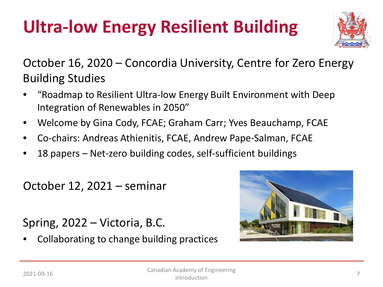# **Ultra-low Energy Resilient Building**



October 16, 2020 – Concordia University, Centre for Zero Energy Building Studies

- "Roadmap to Resilient Ultra-low Energy Built Environment with Deep Integration of Renewables in 2050"
- Welcome by Gina Cody, FCAE; Graham Carr; Yves Beauchamp, FCAE
- Co-chairs: Andreas Athienitis, FCAE, Andrew Pape-Salman, FCAE
- 18 papers Net-zero building codes, self-sufficient buildings

October 12, 2021 – seminar

Spring, 2022 – Victoria, B.C.

• Collaborating to change building practices

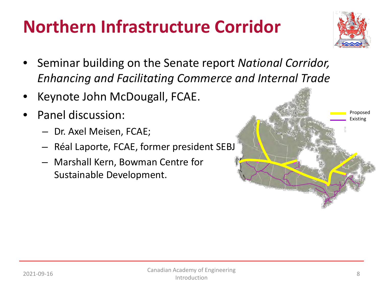#### **Northern Infrastructure Corridor**



- Seminar building on the Senate report *National Corridor, Enhancing and Facilitating Commerce and Internal Trade*
- Keynote John McDougall, FCAE.
- Panel discussion:
	- Dr. Axel Meisen, FCAE;
	- Réal Laporte, FCAE, former president SEBJ
	- Marshall Kern, Bowman Centre for Sustainable Development.

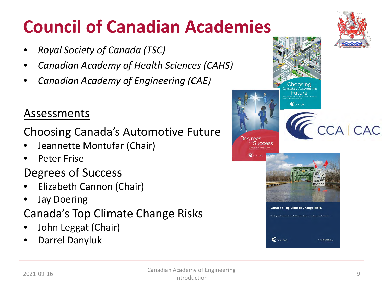### **Council of Canadian Academies**

- *Royal Society of Canada (TSC)*
- *Canadian Academy of Health Sciences (CAHS)*
- *Canadian Academy of Engineering (CAE)*

#### Assessments

#### Choosing Canada's Automotive Future

- Jeannette Montufar (Chair)
- Peter Frise

#### Degrees of Success

- Elizabeth Cannon (Chair)
- Jay Doering
- Canada's Top Climate Change Risks
- John Leggat (Chair)
- Darrel Danyluk

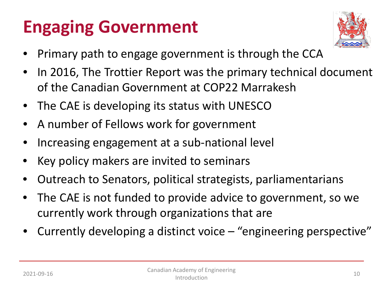# **Engaging Government**



- Primary path to engage government is through the CCA
- In 2016, The Trottier Report was the primary technical document of the Canadian Government at COP22 Marrakesh
- The CAE is developing its status with UNESCO
- A number of Fellows work for government
- Increasing engagement at a sub-national level
- Key policy makers are invited to seminars
- Outreach to Senators, political strategists, parliamentarians
- The CAE is not funded to provide advice to government, so we currently work through organizations that are
- Currently developing a distinct voice "engineering perspective"